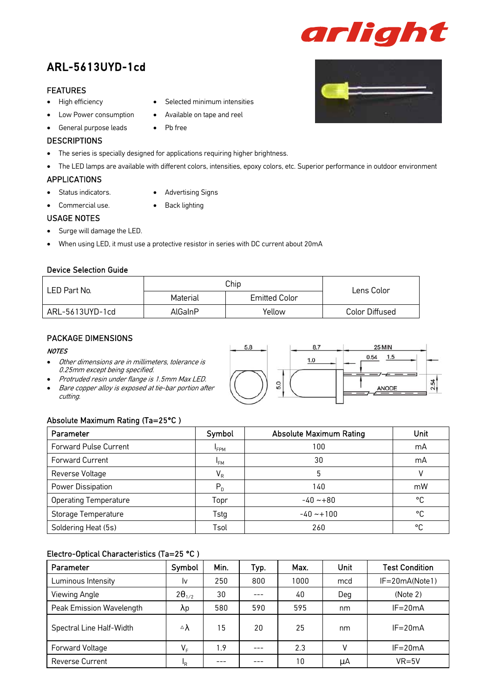# ARL-5613UYD-1cd

#### FEATURES

- High efficiency
- Low Power consumption
- General purpose leads

#### **DESCRIPTIONS**

• The series is specially designed for applications requiring higher brightness.

• Pb free

• The LED lamps are available with different colors, intensities, epoxy colors, etc. Superior performance in outdoor environment

#### APPLICATIONS

- Status indicators.
- Commercial use.
- Advertising Signs

Selected minimum intensities

• Available on tape and reel

• Back lighting

### USAGE NOTES

- Surge will damage the LED.
- When using LED, it must use a protective resistor in series with DC current about 20mA

#### Device Selection Guide

| LED Part No.    | Chip     | Lens Color           |                       |
|-----------------|----------|----------------------|-----------------------|
|                 | Material | <b>Emitted Color</b> |                       |
| ARL-5613UYD-1cd | AlGaInP  | Yellow               | <b>Color Diffused</b> |

### PACKAGE DIMENSIONS

#### **NOTES**

- Other dimensions are in millimeters, tolerance is 0.25mm except being specified.
- Protruded resin under flange is 1.5mm Max LED.
- Bare copper alloy is exposed at tie-bar portion after cutting.

#### Absolute Maximum Rating (Ta=25°C )

| Parameter                    | Symbol          | <b>Absolute Maximum Rating</b> | Unit |
|------------------------------|-----------------|--------------------------------|------|
| <b>Forward Pulse Current</b> | <b>FPM</b>      | 100                            | mA   |
| Forward Current              | <sup>I</sup> FM | 30                             | mA   |
| Reverse Voltage              | $V_R$           | 5                              |      |
| Power Dissipation            | $P_{D}$         | 140                            | mW   |
| <b>Operating Temperature</b> | Topr            | $-40 - +80$                    | °C   |
| Storage Temperature          | Tstg            | $-40 - 100$                    | °C   |
| Soldering Heat (5s)          | Tsol            | 260                            | °C   |

#### Electro-Optical Characteristics (Ta=25 °C )

| Parameter                | Symbol                    | Min. | Typ. | Max. | Unit | <b>Test Condition</b> |
|--------------------------|---------------------------|------|------|------|------|-----------------------|
| Luminous Intensity       | Iv                        | 250  | 800  | 1000 | mcd  | $IF = 20mA(Note1)$    |
| Viewing Angle            | $2\theta_{1/2}$           | 30   |      | 40   | Deg  | (Note 2)              |
| Peak Emission Wavelength | λp                        | 580  | 590  | 595  | nm   | $IF = 20mA$           |
| Spectral Line Half-Width | $\triangle \lambda$       | 15   | 20   | 25   | nm   | $IF = 20mA$           |
| Forward Voltage          | $V_F$                     | 1.9  |      | 2.3  | v    | $IF = 20mA$           |
| <b>Reverse Current</b>   | $\mathsf{I}_{\mathsf{R}}$ | ---  |      | 10   | uA   | $VR = 5V$             |

5.8 8.7 25 MIN  $0.54$   $1.5$  $1.0$ 2.54 5.0 ANODE



arlight